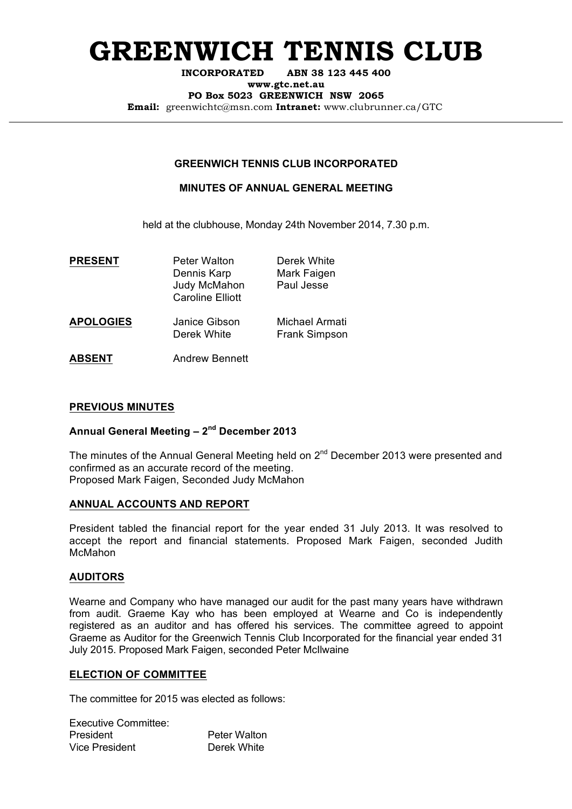# **GREENWICH TENNIS CLUB**

**INCORPORATED ABN 38 123 445 400**

**www.gtc.net.au**

**PO Box 5023 GREENWICH NSW 2065**

**Email:** greenwichtc@msn.com **Intranet:** www.clubrunner.ca/GTC

# **GREENWICH TENNIS CLUB INCORPORATED**

# **MINUTES OF ANNUAL GENERAL MEETING**

held at the clubhouse, Monday 24th November 2014, 7.30 p.m.

| <b>PRESENT</b>   | <b>Peter Walton</b><br>Dennis Karp<br>Judy McMahon<br><b>Caroline Elliott</b> | Derek White<br>Mark Faigen<br>Paul Jesse |
|------------------|-------------------------------------------------------------------------------|------------------------------------------|
| <b>APOLOGIES</b> | Janice Gibson<br>Derek White                                                  | Michael Armati<br><b>Frank Simpson</b>   |
| <b>ABSENT</b>    | <b>Andrew Bennett</b>                                                         |                                          |

## **PREVIOUS MINUTES**

# **Annual General Meeting – 2nd December 2013**

The minutes of the Annual General Meeting held on  $2^{nd}$  December 2013 were presented and confirmed as an accurate record of the meeting. Proposed Mark Faigen, Seconded Judy McMahon

#### **ANNUAL ACCOUNTS AND REPORT**

President tabled the financial report for the year ended 31 July 2013. It was resolved to accept the report and financial statements. Proposed Mark Faigen, seconded Judith McMahon

#### **AUDITORS**

Wearne and Company who have managed our audit for the past many years have withdrawn from audit. Graeme Kay who has been employed at Wearne and Co is independently registered as an auditor and has offered his services. The committee agreed to appoint Graeme as Auditor for the Greenwich Tennis Club Incorporated for the financial year ended 31 July 2015. Proposed Mark Faigen, seconded Peter McIlwaine

#### **ELECTION OF COMMITTEE**

The committee for 2015 was elected as follows:

| Executive Committee: |                     |
|----------------------|---------------------|
| President            | <b>Peter Walton</b> |
| Vice President       | Derek White         |